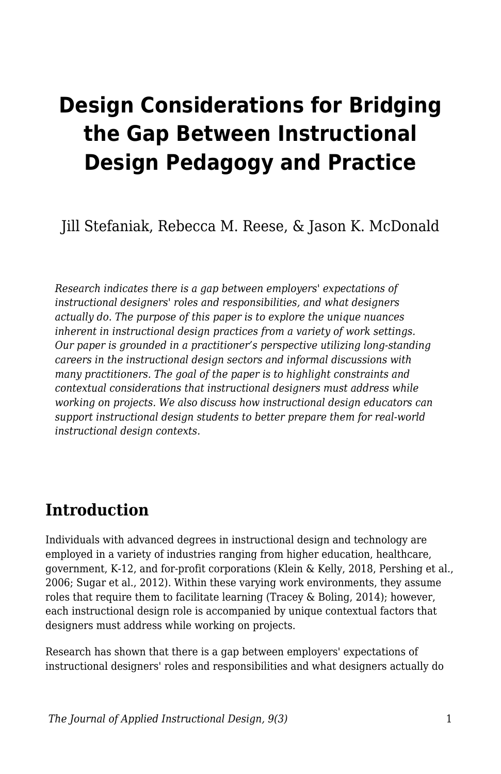# **Design Considerations for Bridging the Gap Between Instructional Design Pedagogy and Practice**

Jill Stefaniak, Rebecca M. Reese, & Jason K. McDonald

*Research indicates there is a gap between employers' expectations of instructional designers' roles and responsibilities, and what designers actually do. The purpose of this paper is to explore the unique nuances inherent in instructional design practices from a variety of work settings. Our paper is grounded in a practitioner's perspective utilizing long-standing careers in the instructional design sectors and informal discussions with many practitioners. The goal of the paper is to highlight constraints and contextual considerations that instructional designers must address while working on projects. We also discuss how instructional design educators can support instructional design students to better prepare them for real-world instructional design contexts.*

### **Introduction**

Individuals with advanced degrees in instructional design and technology are employed in a variety of industries ranging from higher education, healthcare, government, K-12, and for-profit corporations (Klein & Kelly, 2018, Pershing et al., 2006; Sugar et al., 2012). Within these varying work environments, they assume roles that require them to facilitate learning (Tracey & Boling, 2014); however, each instructional design role is accompanied by unique contextual factors that designers must address while working on projects.

Research has shown that there is a gap between employers' expectations of instructional designers' roles and responsibilities and what designers actually do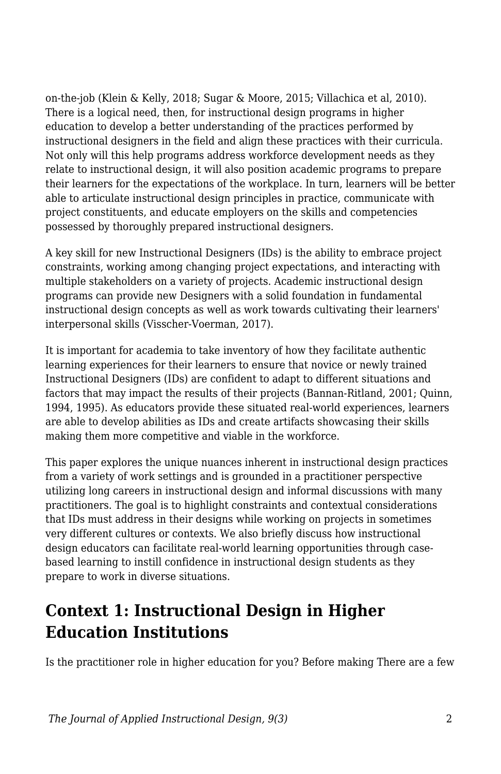on-the-job (Klein & Kelly, 2018; Sugar & Moore, 2015; Villachica et al, 2010). There is a logical need, then, for instructional design programs in higher education to develop a better understanding of the practices performed by instructional designers in the field and align these practices with their curricula. Not only will this help programs address workforce development needs as they relate to instructional design, it will also position academic programs to prepare their learners for the expectations of the workplace. In turn, learners will be better able to articulate instructional design principles in practice, communicate with project constituents, and educate employers on the skills and competencies possessed by thoroughly prepared instructional designers.

A key skill for new Instructional Designers (IDs) is the ability to embrace project constraints, working among changing project expectations, and interacting with multiple stakeholders on a variety of projects. Academic instructional design programs can provide new Designers with a solid foundation in fundamental instructional design concepts as well as work towards cultivating their learners' interpersonal skills (Visscher-Voerman, 2017).

It is important for academia to take inventory of how they facilitate authentic learning experiences for their learners to ensure that novice or newly trained Instructional Designers (IDs) are confident to adapt to different situations and factors that may impact the results of their projects (Bannan-Ritland, 2001; Quinn, 1994, 1995). As educators provide these situated real-world experiences, learners are able to develop abilities as IDs and create artifacts showcasing their skills making them more competitive and viable in the workforce.

This paper explores the unique nuances inherent in instructional design practices from a variety of work settings and is grounded in a practitioner perspective utilizing long careers in instructional design and informal discussions with many practitioners. The goal is to highlight constraints and contextual considerations that IDs must address in their designs while working on projects in sometimes very different cultures or contexts. We also briefly discuss how instructional design educators can facilitate real-world learning opportunities through casebased learning to instill confidence in instructional design students as they prepare to work in diverse situations.

### **Context 1: Instructional Design in Higher Education Institutions**

Is the practitioner role in higher education for you? Before making There are a few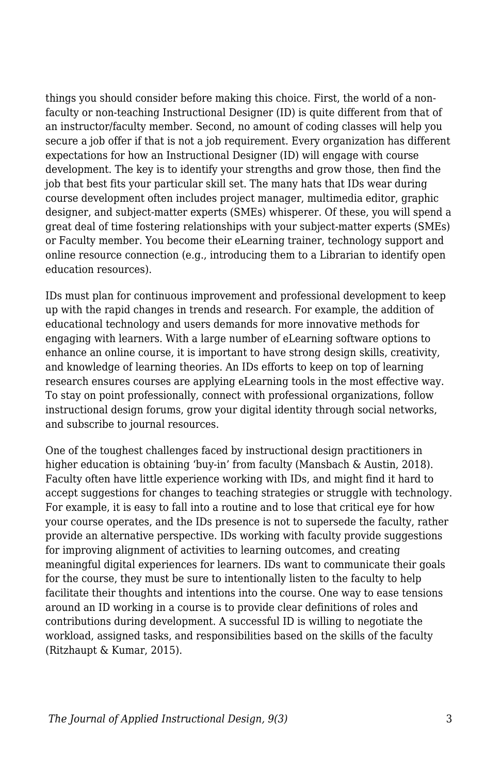things you should consider before making this choice. First, the world of a nonfaculty or non-teaching Instructional Designer (ID) is quite different from that of an instructor/faculty member. Second, no amount of coding classes will help you secure a job offer if that is not a job requirement. Every organization has different expectations for how an Instructional Designer (ID) will engage with course development. The key is to identify your strengths and grow those, then find the job that best fits your particular skill set. The many hats that IDs wear during course development often includes project manager, multimedia editor, graphic designer, and subject-matter experts (SMEs) whisperer. Of these, you will spend a great deal of time fostering relationships with your subject-matter experts (SMEs) or Faculty member. You become their eLearning trainer, technology support and online resource connection (e.g., introducing them to a Librarian to identify open education resources).

IDs must plan for continuous improvement and professional development to keep up with the rapid changes in trends and research. For example, the addition of educational technology and users demands for more innovative methods for engaging with learners. With a large number of eLearning software options to enhance an online course, it is important to have strong design skills, creativity, and knowledge of learning theories. An IDs efforts to keep on top of learning research ensures courses are applying eLearning tools in the most effective way. To stay on point professionally, connect with professional organizations, follow instructional design forums, grow your digital identity through social networks, and subscribe to journal resources.

One of the toughest challenges faced by instructional design practitioners in higher education is obtaining 'buy-in' from faculty (Mansbach & Austin, 2018). Faculty often have little experience working with IDs, and might find it hard to accept suggestions for changes to teaching strategies or struggle with technology. For example, it is easy to fall into a routine and to lose that critical eye for how your course operates, and the IDs presence is not to supersede the faculty, rather provide an alternative perspective. IDs working with faculty provide suggestions for improving alignment of activities to learning outcomes, and creating meaningful digital experiences for learners. IDs want to communicate their goals for the course, they must be sure to intentionally listen to the faculty to help facilitate their thoughts and intentions into the course. One way to ease tensions around an ID working in a course is to provide clear definitions of roles and contributions during development. A successful ID is willing to negotiate the workload, assigned tasks, and responsibilities based on the skills of the faculty (Ritzhaupt & Kumar, 2015).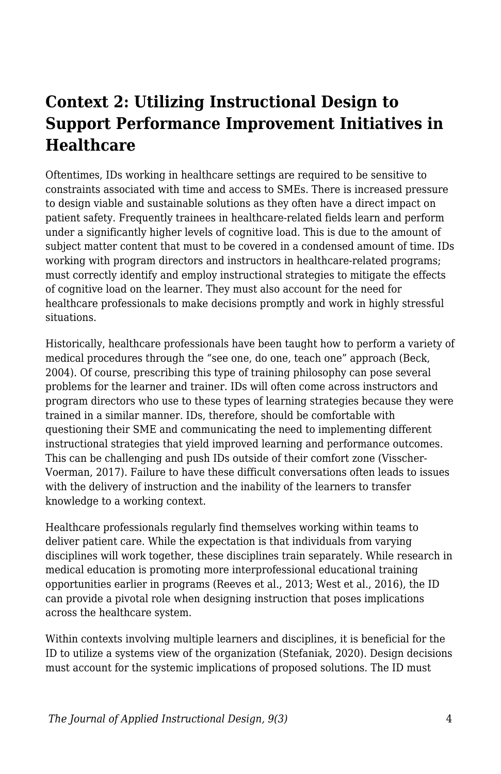## **Context 2: Utilizing Instructional Design to Support Performance Improvement Initiatives in Healthcare**

Oftentimes, IDs working in healthcare settings are required to be sensitive to constraints associated with time and access to SMEs. There is increased pressure to design viable and sustainable solutions as they often have a direct impact on patient safety. Frequently trainees in healthcare-related fields learn and perform under a significantly higher levels of cognitive load. This is due to the amount of subject matter content that must to be covered in a condensed amount of time. IDs working with program directors and instructors in healthcare-related programs; must correctly identify and employ instructional strategies to mitigate the effects of cognitive load on the learner. They must also account for the need for healthcare professionals to make decisions promptly and work in highly stressful situations.

Historically, healthcare professionals have been taught how to perform a variety of medical procedures through the "see one, do one, teach one" approach (Beck, 2004). Of course, prescribing this type of training philosophy can pose several problems for the learner and trainer. IDs will often come across instructors and program directors who use to these types of learning strategies because they were trained in a similar manner. IDs, therefore, should be comfortable with questioning their SME and communicating the need to implementing different instructional strategies that yield improved learning and performance outcomes. This can be challenging and push IDs outside of their comfort zone (Visscher-Voerman, 2017). Failure to have these difficult conversations often leads to issues with the delivery of instruction and the inability of the learners to transfer knowledge to a working context.

Healthcare professionals regularly find themselves working within teams to deliver patient care. While the expectation is that individuals from varying disciplines will work together, these disciplines train separately. While research in medical education is promoting more interprofessional educational training opportunities earlier in programs (Reeves et al., 2013; West et al., 2016), the ID can provide a pivotal role when designing instruction that poses implications across the healthcare system.

Within contexts involving multiple learners and disciplines, it is beneficial for the ID to utilize a systems view of the organization (Stefaniak, 2020). Design decisions must account for the systemic implications of proposed solutions. The ID must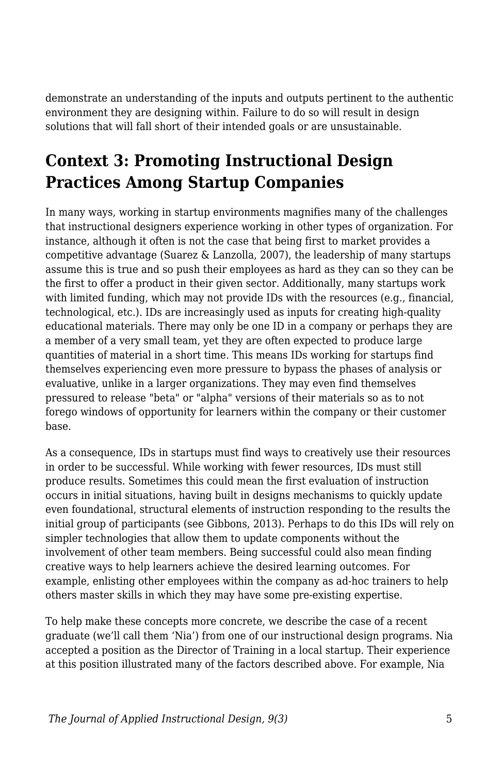demonstrate an understanding of the inputs and outputs pertinent to the authentic environment they are designing within. Failure to do so will result in design solutions that will fall short of their intended goals or are unsustainable.

# **Context 3: Promoting Instructional Design Practices Among Startup Companies**

In many ways, working in startup environments magnifies many of the challenges that instructional designers experience working in other types of organization. For instance, although it often is not the case that being first to market provides a competitive advantage (Suarez & Lanzolla, 2007), the leadership of many startups assume this is true and so push their employees as hard as they can so they can be the first to offer a product in their given sector. Additionally, many startups work with limited funding, which may not provide IDs with the resources (e.g., financial, technological, etc.). IDs are increasingly used as inputs for creating high-quality educational materials. There may only be one ID in a company or perhaps they are a member of a very small team, yet they are often expected to produce large quantities of material in a short time. This means IDs working for startups find themselves experiencing even more pressure to bypass the phases of analysis or evaluative, unlike in a larger organizations. They may even find themselves pressured to release "beta" or "alpha" versions of their materials so as to not forego windows of opportunity for learners within the company or their customer base.

As a consequence, IDs in startups must find ways to creatively use their resources in order to be successful. While working with fewer resources, IDs must still produce results. Sometimes this could mean the first evaluation of instruction occurs in initial situations, having built in designs mechanisms to quickly update even foundational, structural elements of instruction responding to the results the initial group of participants (see Gibbons, 2013). Perhaps to do this IDs will rely on simpler technologies that allow them to update components without the involvement of other team members. Being successful could also mean finding creative ways to help learners achieve the desired learning outcomes. For example, enlisting other employees within the company as ad-hoc trainers to help others master skills in which they may have some pre-existing expertise.

To help make these concepts more concrete, we describe the case of a recent graduate (we'll call them 'Nia') from one of our instructional design programs. Nia accepted a position as the Director of Training in a local startup. Their experience at this position illustrated many of the factors described above. For example, Nia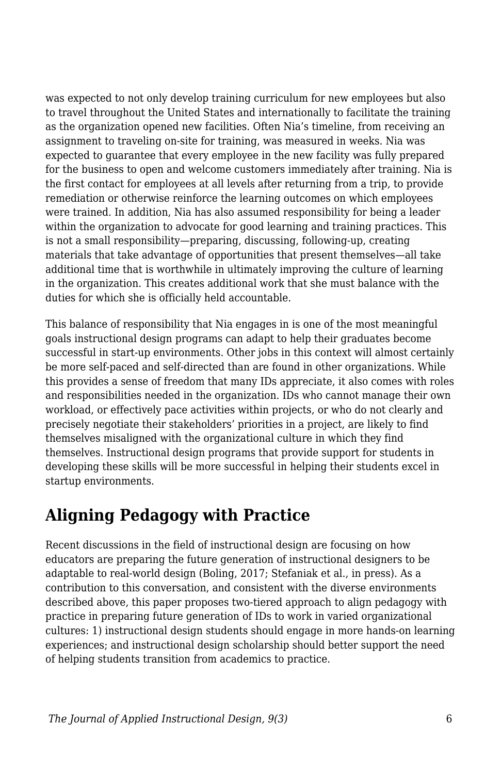was expected to not only develop training curriculum for new employees but also to travel throughout the United States and internationally to facilitate the training as the organization opened new facilities. Often Nia's timeline, from receiving an assignment to traveling on-site for training, was measured in weeks. Nia was expected to guarantee that every employee in the new facility was fully prepared for the business to open and welcome customers immediately after training. Nia is the first contact for employees at all levels after returning from a trip, to provide remediation or otherwise reinforce the learning outcomes on which employees were trained. In addition, Nia has also assumed responsibility for being a leader within the organization to advocate for good learning and training practices. This is not a small responsibility—preparing, discussing, following-up, creating materials that take advantage of opportunities that present themselves—all take additional time that is worthwhile in ultimately improving the culture of learning in the organization. This creates additional work that she must balance with the duties for which she is officially held accountable.

This balance of responsibility that Nia engages in is one of the most meaningful goals instructional design programs can adapt to help their graduates become successful in start-up environments. Other jobs in this context will almost certainly be more self-paced and self-directed than are found in other organizations. While this provides a sense of freedom that many IDs appreciate, it also comes with roles and responsibilities needed in the organization. IDs who cannot manage their own workload, or effectively pace activities within projects, or who do not clearly and precisely negotiate their stakeholders' priorities in a project, are likely to find themselves misaligned with the organizational culture in which they find themselves. Instructional design programs that provide support for students in developing these skills will be more successful in helping their students excel in startup environments.

## **Aligning Pedagogy with Practice**

Recent discussions in the field of instructional design are focusing on how educators are preparing the future generation of instructional designers to be adaptable to real-world design (Boling, 2017; Stefaniak et al., in press). As a contribution to this conversation, and consistent with the diverse environments described above, this paper proposes two-tiered approach to align pedagogy with practice in preparing future generation of IDs to work in varied organizational cultures: 1) instructional design students should engage in more hands-on learning experiences; and instructional design scholarship should better support the need of helping students transition from academics to practice.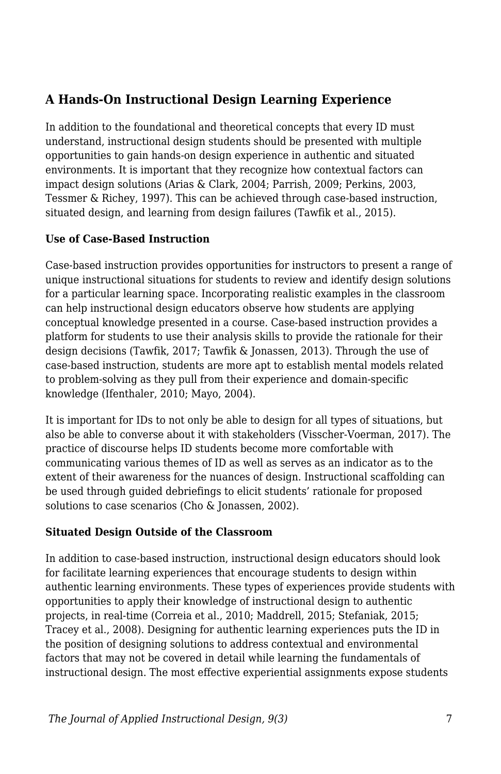### **A Hands-On Instructional Design Learning Experience**

In addition to the foundational and theoretical concepts that every ID must understand, instructional design students should be presented with multiple opportunities to gain hands-on design experience in authentic and situated environments. It is important that they recognize how contextual factors can impact design solutions (Arias & Clark, 2004; Parrish, 2009; Perkins, 2003, Tessmer & Richey, 1997). This can be achieved through case-based instruction, situated design, and learning from design failures (Tawfik et al., 2015).

#### **Use of Case-Based Instruction**

Case-based instruction provides opportunities for instructors to present a range of unique instructional situations for students to review and identify design solutions for a particular learning space. Incorporating realistic examples in the classroom can help instructional design educators observe how students are applying conceptual knowledge presented in a course. Case-based instruction provides a platform for students to use their analysis skills to provide the rationale for their design decisions (Tawfik, 2017; Tawfik & Jonassen, 2013). Through the use of case-based instruction, students are more apt to establish mental models related to problem-solving as they pull from their experience and domain-specific knowledge (Ifenthaler, 2010; Mayo, 2004).

It is important for IDs to not only be able to design for all types of situations, but also be able to converse about it with stakeholders (Visscher-Voerman, 2017). The practice of discourse helps ID students become more comfortable with communicating various themes of ID as well as serves as an indicator as to the extent of their awareness for the nuances of design. Instructional scaffolding can be used through guided debriefings to elicit students' rationale for proposed solutions to case scenarios (Cho & Jonassen, 2002).

#### **Situated Design Outside of the Classroom**

In addition to case-based instruction, instructional design educators should look for facilitate learning experiences that encourage students to design within authentic learning environments. These types of experiences provide students with opportunities to apply their knowledge of instructional design to authentic projects, in real-time (Correia et al., 2010; Maddrell, 2015; Stefaniak, 2015; Tracey et al., 2008). Designing for authentic learning experiences puts the ID in the position of designing solutions to address contextual and environmental factors that may not be covered in detail while learning the fundamentals of instructional design. The most effective experiential assignments expose students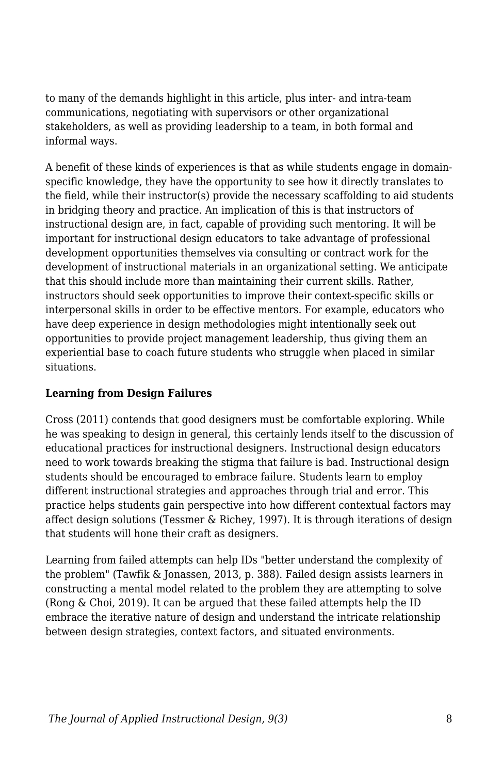to many of the demands highlight in this article, plus inter- and intra-team communications, negotiating with supervisors or other organizational stakeholders, as well as providing leadership to a team, in both formal and informal ways.

A benefit of these kinds of experiences is that as while students engage in domainspecific knowledge, they have the opportunity to see how it directly translates to the field, while their instructor(s) provide the necessary scaffolding to aid students in bridging theory and practice. An implication of this is that instructors of instructional design are, in fact, capable of providing such mentoring. It will be important for instructional design educators to take advantage of professional development opportunities themselves via consulting or contract work for the development of instructional materials in an organizational setting. We anticipate that this should include more than maintaining their current skills. Rather, instructors should seek opportunities to improve their context-specific skills or interpersonal skills in order to be effective mentors. For example, educators who have deep experience in design methodologies might intentionally seek out opportunities to provide project management leadership, thus giving them an experiential base to coach future students who struggle when placed in similar situations.

#### **Learning from Design Failures**

Cross (2011) contends that good designers must be comfortable exploring. While he was speaking to design in general, this certainly lends itself to the discussion of educational practices for instructional designers. Instructional design educators need to work towards breaking the stigma that failure is bad. Instructional design students should be encouraged to embrace failure. Students learn to employ different instructional strategies and approaches through trial and error. This practice helps students gain perspective into how different contextual factors may affect design solutions (Tessmer & Richey, 1997). It is through iterations of design that students will hone their craft as designers.

Learning from failed attempts can help IDs "better understand the complexity of the problem" (Tawfik & Jonassen, 2013, p. 388). Failed design assists learners in constructing a mental model related to the problem they are attempting to solve (Rong & Choi, 2019). It can be argued that these failed attempts help the ID embrace the iterative nature of design and understand the intricate relationship between design strategies, context factors, and situated environments.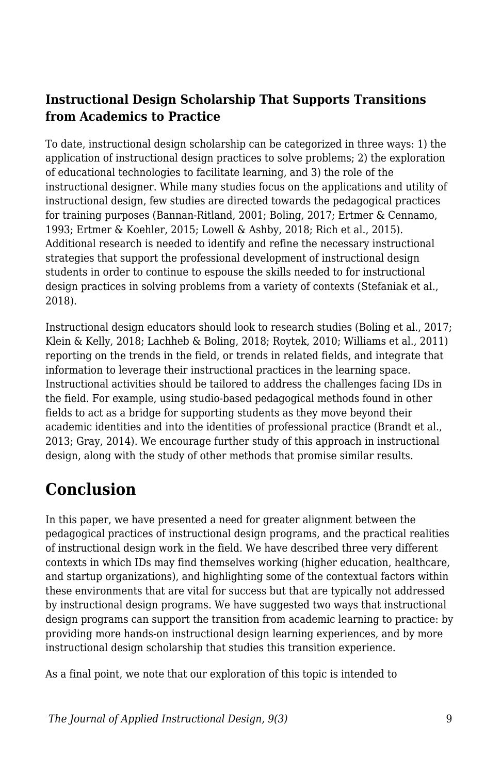### **Instructional Design Scholarship That Supports Transitions from Academics to Practice**

To date, instructional design scholarship can be categorized in three ways: 1) the application of instructional design practices to solve problems; 2) the exploration of educational technologies to facilitate learning, and 3) the role of the instructional designer. While many studies focus on the applications and utility of instructional design, few studies are directed towards the pedagogical practices for training purposes (Bannan-Ritland, 2001; Boling, 2017; Ertmer & Cennamo, 1993; Ertmer & Koehler, 2015; Lowell & Ashby, 2018; Rich et al., 2015). Additional research is needed to identify and refine the necessary instructional strategies that support the professional development of instructional design students in order to continue to espouse the skills needed to for instructional design practices in solving problems from a variety of contexts (Stefaniak et al., 2018).

Instructional design educators should look to research studies (Boling et al., 2017; Klein & Kelly, 2018; Lachheb & Boling, 2018; Roytek, 2010; Williams et al., 2011) reporting on the trends in the field, or trends in related fields, and integrate that information to leverage their instructional practices in the learning space. Instructional activities should be tailored to address the challenges facing IDs in the field. For example, using studio-based pedagogical methods found in other fields to act as a bridge for supporting students as they move beyond their academic identities and into the identities of professional practice (Brandt et al., 2013; Gray, 2014). We encourage further study of this approach in instructional design, along with the study of other methods that promise similar results.

### **Conclusion**

In this paper, we have presented a need for greater alignment between the pedagogical practices of instructional design programs, and the practical realities of instructional design work in the field. We have described three very different contexts in which IDs may find themselves working (higher education, healthcare, and startup organizations), and highlighting some of the contextual factors within these environments that are vital for success but that are typically not addressed by instructional design programs. We have suggested two ways that instructional design programs can support the transition from academic learning to practice: by providing more hands-on instructional design learning experiences, and by more instructional design scholarship that studies this transition experience.

As a final point, we note that our exploration of this topic is intended to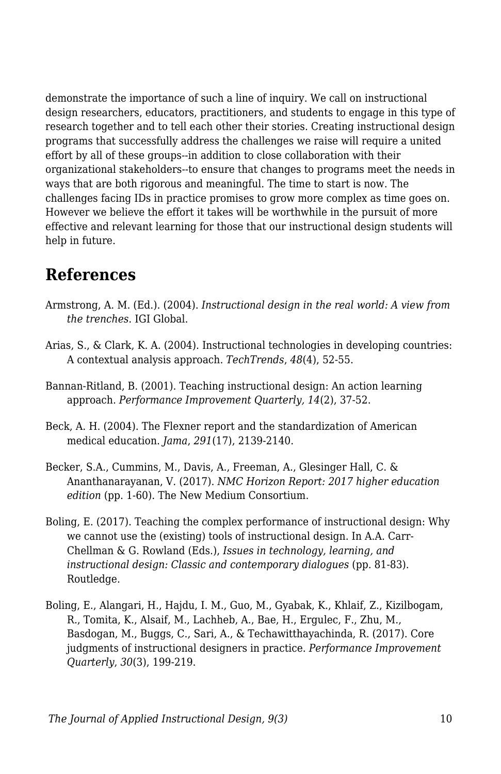demonstrate the importance of such a line of inquiry. We call on instructional design researchers, educators, practitioners, and students to engage in this type of research together and to tell each other their stories. Creating instructional design programs that successfully address the challenges we raise will require a united effort by all of these groups--in addition to close collaboration with their organizational stakeholders--to ensure that changes to programs meet the needs in ways that are both rigorous and meaningful. The time to start is now. The challenges facing IDs in practice promises to grow more complex as time goes on. However we believe the effort it takes will be worthwhile in the pursuit of more effective and relevant learning for those that our instructional design students will help in future.

### **References**

- Armstrong, A. M. (Ed.). (2004). *Instructional design in the real world: A view from the trenches*. IGI Global.
- Arias, S., & Clark, K. A. (2004). Instructional technologies in developing countries: A contextual analysis approach. *TechTrends*, *48*(4), 52-55.
- Bannan-Ritland, B. (2001). Teaching instructional design: An action learning approach. *Performance Improvement Quarterly, 14*(2), 37-52.
- Beck, A. H. (2004). The Flexner report and the standardization of American medical education. *Jama*, *291*(17), 2139-2140.
- Becker, S.A., Cummins, M., Davis, A., Freeman, A., Glesinger Hall, C. & Ananthanarayanan, V. (2017). *NMC Horizon Report: 2017 higher education edition* (pp. 1-60). The New Medium Consortium.
- Boling, E. (2017). Teaching the complex performance of instructional design: Why we cannot use the (existing) tools of instructional design. In A.A. Carr-Chellman & G. Rowland (Eds.), *Issues in technology, learning, and instructional design: Classic and contemporary dialogues* (pp. 81-83). Routledge.
- Boling, E., Alangari, H., Hajdu, I. M., Guo, M., Gyabak, K., Khlaif, Z., Kizilbogam, R., Tomita, K., Alsaif, M., Lachheb, A., Bae, H., Ergulec, F., Zhu, M., Basdogan, M., Buggs, C., Sari, A., & Techawitthayachinda, R. (2017). Core judgments of instructional designers in practice. *Performance Improvement Quarterly*, *30*(3), 199-219.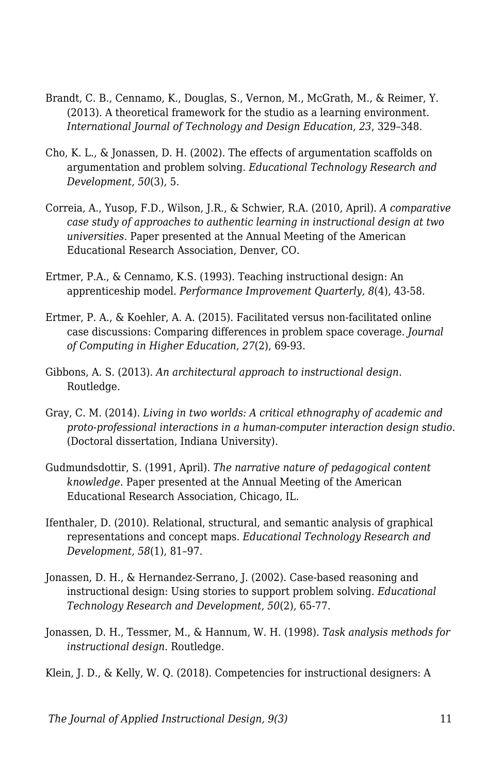- Brandt, C. B., Cennamo, K., Douglas, S., Vernon, M., McGrath, M., & Reimer, Y. (2013). A theoretical framework for the studio as a learning environment. *International Journal of Technology and Design Education*, *23*, 329–348.
- Cho, K. L., & Jonassen, D. H. (2002). The effects of argumentation scaffolds on argumentation and problem solving. *Educational Technology Research and Development*, *50*(3), 5.
- Correia, A., Yusop, F.D., Wilson, J.R., & Schwier, R.A. (2010, April). *A comparative case study of approaches to authentic learning in instructional design at two universities.* Paper presented at the Annual Meeting of the American Educational Research Association, Denver, CO.
- Ertmer, P.A., & Cennamo, K.S. (1993). Teaching instructional design: An apprenticeship model. *Performance Improvement Quarterly, 8*(4), 43-58.
- Ertmer, P. A., & Koehler, A. A. (2015). Facilitated versus non-facilitated online case discussions: Comparing differences in problem space coverage. *Journal of Computing in Higher Education*, *27*(2), 69-93.
- Gibbons, A. S. (2013). *An architectural approach to instructional design*. Routledge.
- Gray, C. M. (2014). *Living in two worlds: A critical ethnography of academic and proto-professional interactions in a human-computer interaction design studio*. (Doctoral dissertation, Indiana University).
- Gudmundsdottir, S. (1991, April). *The narrative nature of pedagogical content knowledge.* Paper presented at the Annual Meeting of the American Educational Research Association, Chicago, IL.
- Ifenthaler, D. (2010). Relational, structural, and semantic analysis of graphical representations and concept maps. *Educational Technology Research and Development, 58*(1), 81–97.
- Jonassen, D. H., & Hernandez-Serrano, J. (2002). Case-based reasoning and instructional design: Using stories to support problem solving. *Educational Technology Research and Development*, *50*(2), 65-77.
- Jonassen, D. H., Tessmer, M., & Hannum, W. H. (1998). *Task analysis methods for instructional design*. Routledge.

Klein, J. D., & Kelly, W. Q. (2018). Competencies for instructional designers: A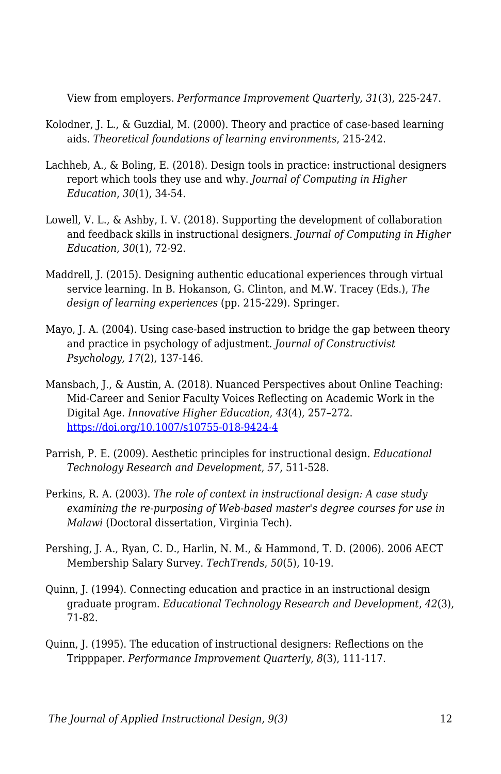View from employers. *Performance Improvement Quarterly*, *31*(3), 225-247.

- Kolodner, J. L., & Guzdial, M. (2000). Theory and practice of case-based learning aids. *Theoretical foundations of learning environments*, 215-242.
- Lachheb, A., & Boling, E. (2018). Design tools in practice: instructional designers report which tools they use and why. *Journal of Computing in Higher Education*, *30*(1), 34-54.
- Lowell, V. L., & Ashby, I. V. (2018). Supporting the development of collaboration and feedback skills in instructional designers. *Journal of Computing in Higher Education*, *30*(1), 72-92.
- Maddrell, J. (2015). Designing authentic educational experiences through virtual service learning. In B. Hokanson, G. Clinton, and M.W. Tracey (Eds.), *The design of learning experiences* (pp. 215-229). Springer.
- Mayo, J. A. (2004). Using case-based instruction to bridge the gap between theory and practice in psychology of adjustment. *Journal of Constructivist Psychology, 17*(2), 137-146.
- Mansbach, J., & Austin, A. (2018). Nuanced Perspectives about Online Teaching: Mid-Career and Senior Faculty Voices Reflecting on Academic Work in the Digital Age. *Innovative Higher Education*, *43*(4), 257–272. <https://doi.org/10.1007/s10755-018-9424-4>
- Parrish, P. E. (2009). Aesthetic principles for instructional design. *Educational Technology Research and Development*, *57,* 511-528.
- Perkins, R. A. (2003). *The role of context in instructional design: A case study examining the re-purposing of Web-based master's degree courses for use in Malawi* (Doctoral dissertation, Virginia Tech).
- Pershing, J. A., Ryan, C. D., Harlin, N. M., & Hammond, T. D. (2006). 2006 AECT Membership Salary Survey. *TechTrends*, *50*(5), 10-19.
- Quinn, J. (1994). Connecting education and practice in an instructional design graduate program. *Educational Technology Research and Development*, *42*(3), 71-82.
- Quinn, J. (1995). The education of instructional designers: Reflections on the Tripppaper. *Performance Improvement Quarterly*, *8*(3), 111-117.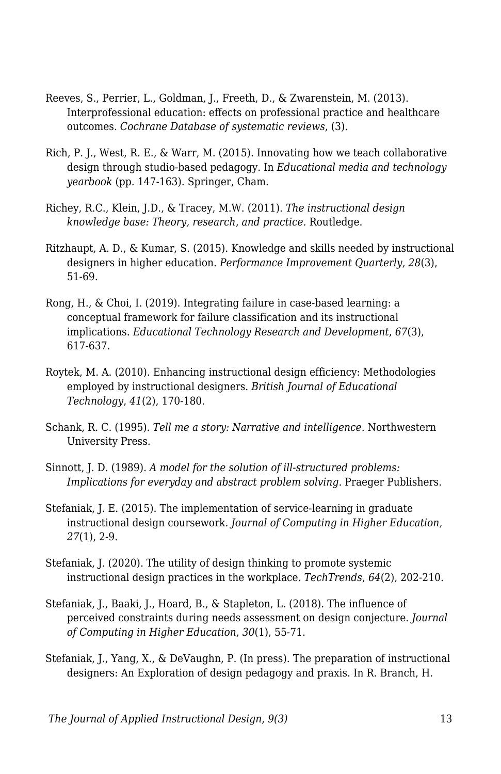- Reeves, S., Perrier, L., Goldman, J., Freeth, D., & Zwarenstein, M. (2013). Interprofessional education: effects on professional practice and healthcare outcomes. *Cochrane Database of systematic reviews*, (3).
- Rich, P. J., West, R. E., & Warr, M. (2015). Innovating how we teach collaborative design through studio-based pedagogy. In *Educational media and technology yearbook* (pp. 147-163). Springer, Cham.
- Richey, R.C., Klein, J.D., & Tracey, M.W. (2011). *The instructional design knowledge base: Theory, research, and practice.* Routledge.
- Ritzhaupt, A. D., & Kumar, S. (2015). Knowledge and skills needed by instructional designers in higher education. *Performance Improvement Quarterly*, *28*(3), 51-69.
- Rong, H., & Choi, I. (2019). Integrating failure in case-based learning: a conceptual framework for failure classification and its instructional implications. *Educational Technology Research and Development*, *67*(3), 617-637.
- Roytek, M. A. (2010). Enhancing instructional design efficiency: Methodologies employed by instructional designers. *British Journal of Educational Technology*, *41*(2), 170-180.
- Schank, R. C. (1995). *Tell me a story: Narrative and intelligence*. Northwestern University Press.
- Sinnott, J. D. (1989). *A model for the solution of ill-structured problems: Implications for everyday and abstract problem solving*. Praeger Publishers.
- Stefaniak, J. E. (2015). The implementation of service-learning in graduate instructional design coursework. *Journal of Computing in Higher Education*, *27*(1), 2-9.
- Stefaniak, J. (2020). The utility of design thinking to promote systemic instructional design practices in the workplace. *TechTrends*, *64*(2), 202-210.
- Stefaniak, J., Baaki, J., Hoard, B., & Stapleton, L. (2018). The influence of perceived constraints during needs assessment on design conjecture. *Journal of Computing in Higher Education*, *30*(1), 55-71.
- Stefaniak, J., Yang, X., & DeVaughn, P. (In press). The preparation of instructional designers: An Exploration of design pedagogy and praxis. In R. Branch, H.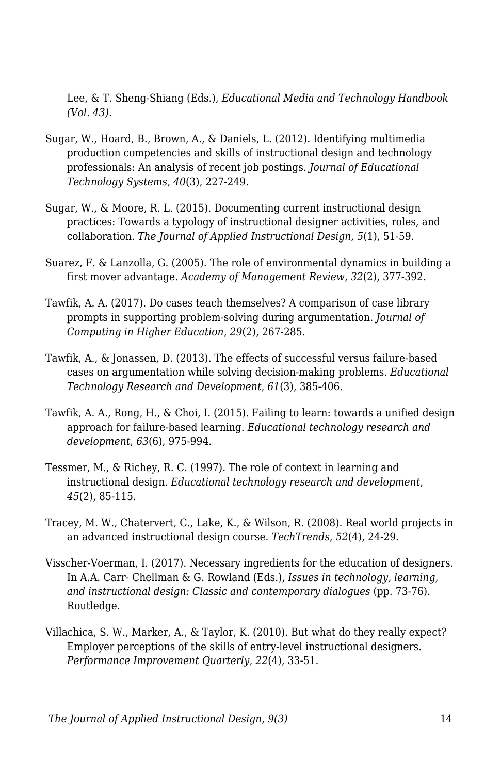Lee, & T. Sheng-Shiang (Eds.), *Educational Media and Technology Handbook (Vol. 43).*

- Sugar, W., Hoard, B., Brown, A., & Daniels, L. (2012). Identifying multimedia production competencies and skills of instructional design and technology professionals: An analysis of recent job postings. *Journal of Educational Technology Systems*, *40*(3), 227-249.
- Sugar, W., & Moore, R. L. (2015). Documenting current instructional design practices: Towards a typology of instructional designer activities, roles, and collaboration. *The Journal of Applied Instructional Design*, *5*(1), 51-59.
- Suarez, F. & Lanzolla, G. (2005). The role of environmental dynamics in building a first mover advantage. *Academy of Management Review, 32*(2), 377-392.
- Tawfik, A. A. (2017). Do cases teach themselves? A comparison of case library prompts in supporting problem-solving during argumentation. *Journal of Computing in Higher Education*, *29*(2), 267-285.
- Tawfik, A., & Jonassen, D. (2013). The effects of successful versus failure-based cases on argumentation while solving decision-making problems. *Educational Technology Research and Development*, *61*(3), 385-406.
- Tawfik, A. A., Rong, H., & Choi, I. (2015). Failing to learn: towards a unified design approach for failure-based learning. *Educational technology research and development*, *63*(6), 975-994.
- Tessmer, M., & Richey, R. C. (1997). The role of context in learning and instructional design. *Educational technology research and development*, *45*(2), 85-115.
- Tracey, M. W., Chatervert, C., Lake, K., & Wilson, R. (2008). Real world projects in an advanced instructional design course. *TechTrends*, *52*(4), 24-29.
- Visscher-Voerman, I. (2017). Necessary ingredients for the education of designers. In A.A. Carr- Chellman & G. Rowland (Eds.), *Issues in technology, learning, and instructional design: Classic and contemporary dialogues* (pp. 73-76). Routledge.
- Villachica, S. W., Marker, A., & Taylor, K. (2010). But what do they really expect? Employer perceptions of the skills of entry‐level instructional designers. *Performance Improvement Quarterly*, *22*(4), 33-51.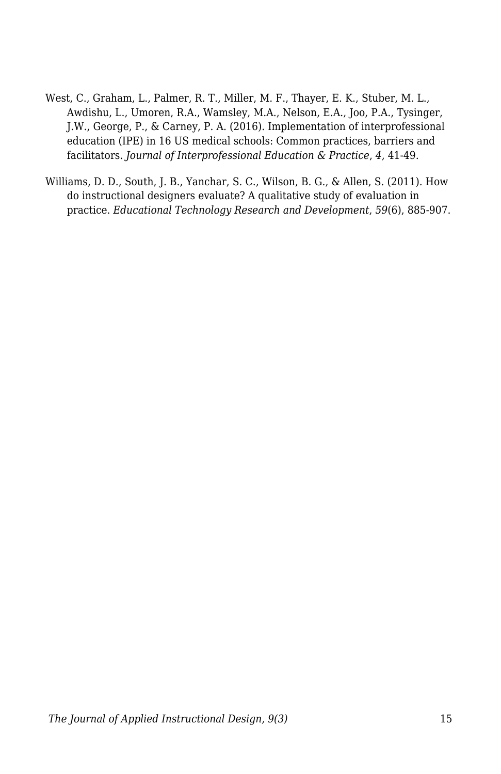- West, C., Graham, L., Palmer, R. T., Miller, M. F., Thayer, E. K., Stuber, M. L., Awdishu, L., Umoren, R.A., Wamsley, M.A., Nelson, E.A., Joo, P.A., Tysinger, J.W., George, P., & Carney, P. A. (2016). Implementation of interprofessional education (IPE) in 16 US medical schools: Common practices, barriers and facilitators. *Journal of Interprofessional Education & Practice*, *4*, 41-49.
- Williams, D. D., South, J. B., Yanchar, S. C., Wilson, B. G., & Allen, S. (2011). How do instructional designers evaluate? A qualitative study of evaluation in practice. *Educational Technology Research and Development*, *59*(6), 885-907.